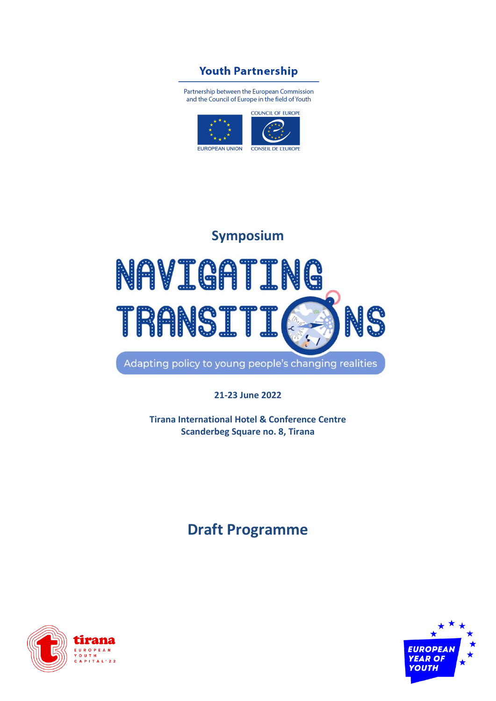### **Youth Partnership**

Partnership between the European Commission and the Council of Europe in the field of Youth



# **Symposium** NAVIGATING TRANSIT: NS

Adapting policy to young people's changing realities

**21-23 June 2022**

**Tirana International Hotel & Conference Centre Scanderbeg Square no. 8, Tirana**

## **Draft Programme**



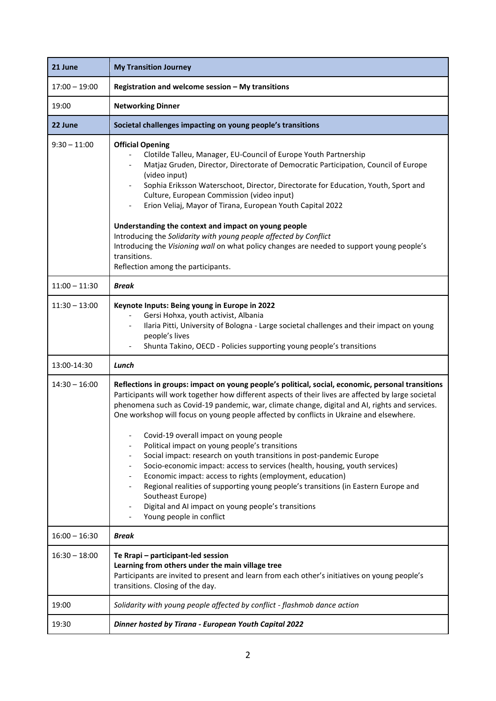| 21 June         | <b>My Transition Journey</b>                                                                                                                                                                                                                                                                                                                                                                                                                                                                                                                                                                                                                                                                                                                                                                                                                                                                                         |
|-----------------|----------------------------------------------------------------------------------------------------------------------------------------------------------------------------------------------------------------------------------------------------------------------------------------------------------------------------------------------------------------------------------------------------------------------------------------------------------------------------------------------------------------------------------------------------------------------------------------------------------------------------------------------------------------------------------------------------------------------------------------------------------------------------------------------------------------------------------------------------------------------------------------------------------------------|
| $17:00 - 19:00$ | Registration and welcome session - My transitions                                                                                                                                                                                                                                                                                                                                                                                                                                                                                                                                                                                                                                                                                                                                                                                                                                                                    |
| 19:00           | <b>Networking Dinner</b>                                                                                                                                                                                                                                                                                                                                                                                                                                                                                                                                                                                                                                                                                                                                                                                                                                                                                             |
| 22 June         | Societal challenges impacting on young people's transitions                                                                                                                                                                                                                                                                                                                                                                                                                                                                                                                                                                                                                                                                                                                                                                                                                                                          |
| $9:30 - 11:00$  | <b>Official Opening</b><br>Clotilde Talleu, Manager, EU-Council of Europe Youth Partnership<br>Matjaz Gruden, Director, Directorate of Democratic Participation, Council of Europe<br>(video input)<br>Sophia Eriksson Waterschoot, Director, Directorate for Education, Youth, Sport and<br>Culture, European Commission (video input)<br>Erion Veliaj, Mayor of Tirana, European Youth Capital 2022<br>Understanding the context and impact on young people<br>Introducing the Solidarity with young people affected by Conflict<br>Introducing the Visioning wall on what policy changes are needed to support young people's<br>transitions.<br>Reflection among the participants.                                                                                                                                                                                                                               |
| $11:00 - 11:30$ | <b>Break</b>                                                                                                                                                                                                                                                                                                                                                                                                                                                                                                                                                                                                                                                                                                                                                                                                                                                                                                         |
| $11:30 - 13:00$ | Keynote Inputs: Being young in Europe in 2022<br>Gersi Hohxa, youth activist, Albania<br>Ilaria Pitti, University of Bologna - Large societal challenges and their impact on young<br>people's lives<br>Shunta Takino, OECD - Policies supporting young people's transitions                                                                                                                                                                                                                                                                                                                                                                                                                                                                                                                                                                                                                                         |
| 13:00-14:30     | Lunch                                                                                                                                                                                                                                                                                                                                                                                                                                                                                                                                                                                                                                                                                                                                                                                                                                                                                                                |
| $14:30 - 16:00$ | Reflections in groups: impact on young people's political, social, economic, personal transitions<br>Participants will work together how different aspects of their lives are affected by large societal<br>phenomena such as Covid-19 pandemic, war, climate change, digital and AI, rights and services.<br>One workshop will focus on young people affected by conflicts in Ukraine and elsewhere.<br>Covid-19 overall impact on young people<br>Political impact on young people's transitions<br>Social impact: research on youth transitions in post-pandemic Europe<br>Socio-economic impact: access to services (health, housing, youth services)<br>Economic impact: access to rights (employment, education)<br>Regional realities of supporting young people's transitions (in Eastern Europe and<br>Southeast Europe)<br>Digital and AI impact on young people's transitions<br>Young people in conflict |
| $16:00 - 16:30$ | Break                                                                                                                                                                                                                                                                                                                                                                                                                                                                                                                                                                                                                                                                                                                                                                                                                                                                                                                |
| $16:30 - 18:00$ | Te Rrapi - participant-led session<br>Learning from others under the main village tree<br>Participants are invited to present and learn from each other's initiatives on young people's<br>transitions. Closing of the day.                                                                                                                                                                                                                                                                                                                                                                                                                                                                                                                                                                                                                                                                                          |
| 19:00           | Solidarity with young people affected by conflict - flashmob dance action                                                                                                                                                                                                                                                                                                                                                                                                                                                                                                                                                                                                                                                                                                                                                                                                                                            |
| 19:30           | Dinner hosted by Tirana - European Youth Capital 2022                                                                                                                                                                                                                                                                                                                                                                                                                                                                                                                                                                                                                                                                                                                                                                                                                                                                |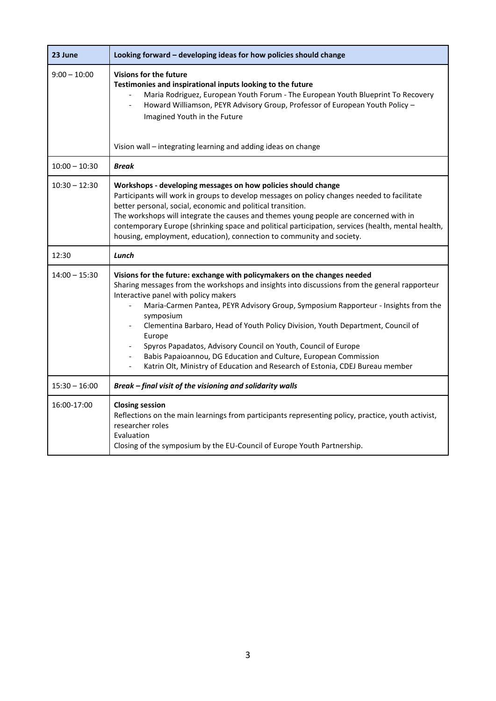| 23 June         | Looking forward - developing ideas for how policies should change                                                                                                                                                                                                                                                                                                                                                                                                                                                                                                                                                                                                                      |
|-----------------|----------------------------------------------------------------------------------------------------------------------------------------------------------------------------------------------------------------------------------------------------------------------------------------------------------------------------------------------------------------------------------------------------------------------------------------------------------------------------------------------------------------------------------------------------------------------------------------------------------------------------------------------------------------------------------------|
| $9:00 - 10:00$  | <b>Visions for the future</b><br>Testimonies and inspirational inputs looking to the future<br>Maria Rodriguez, European Youth Forum - The European Youth Blueprint To Recovery<br>Howard Williamson, PEYR Advisory Group, Professor of European Youth Policy -<br>$\overline{\phantom{a}}$<br>Imagined Youth in the Future                                                                                                                                                                                                                                                                                                                                                            |
|                 | Vision wall - integrating learning and adding ideas on change                                                                                                                                                                                                                                                                                                                                                                                                                                                                                                                                                                                                                          |
| $10:00 - 10:30$ | <b>Break</b>                                                                                                                                                                                                                                                                                                                                                                                                                                                                                                                                                                                                                                                                           |
| $10:30 - 12:30$ | Workshops - developing messages on how policies should change<br>Participants will work in groups to develop messages on policy changes needed to facilitate<br>better personal, social, economic and political transition.<br>The workshops will integrate the causes and themes young people are concerned with in<br>contemporary Europe (shrinking space and political participation, services (health, mental health,<br>housing, employment, education), connection to community and society.                                                                                                                                                                                    |
| 12:30           | Lunch                                                                                                                                                                                                                                                                                                                                                                                                                                                                                                                                                                                                                                                                                  |
| $14:00 - 15:30$ | Visions for the future: exchange with policymakers on the changes needed<br>Sharing messages from the workshops and insights into discussions from the general rapporteur<br>Interactive panel with policy makers<br>Maria-Carmen Pantea, PEYR Advisory Group, Symposium Rapporteur - Insights from the<br>symposium<br>Clementina Barbaro, Head of Youth Policy Division, Youth Department, Council of<br>$\overline{\phantom{a}}$<br>Europe<br>Spyros Papadatos, Advisory Council on Youth, Council of Europe<br>$\blacksquare$<br>Babis Papaioannou, DG Education and Culture, European Commission<br>Katrin Olt, Ministry of Education and Research of Estonia, CDEJ Bureau member |
| $15:30 - 16:00$ | Break - final visit of the visioning and solidarity walls                                                                                                                                                                                                                                                                                                                                                                                                                                                                                                                                                                                                                              |
| 16:00-17:00     | <b>Closing session</b><br>Reflections on the main learnings from participants representing policy, practice, youth activist,<br>researcher roles<br>Evaluation<br>Closing of the symposium by the EU-Council of Europe Youth Partnership.                                                                                                                                                                                                                                                                                                                                                                                                                                              |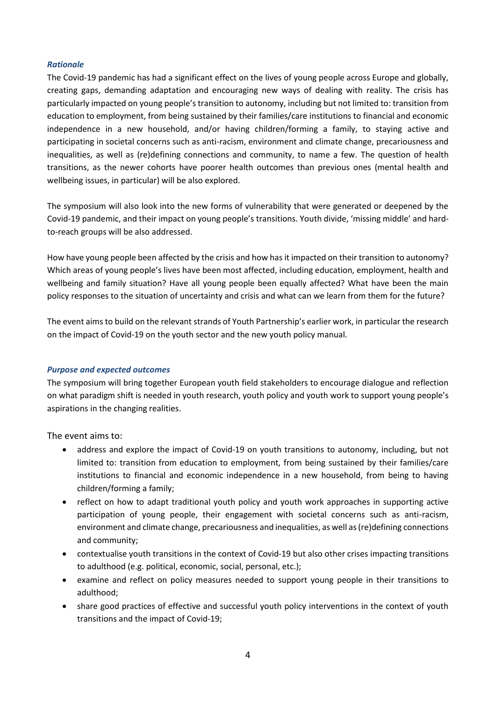### *Rationale*

The Covid-19 pandemic has had a significant effect on the lives of young people across Europe and globally, creating gaps, demanding adaptation and encouraging new ways of dealing with reality. The crisis has particularly impacted on young people's transition to autonomy, including but not limited to: transition from education to employment, from being sustained by their families/care institutions to financial and economic independence in a new household, and/or having children/forming a family, to staying active and participating in societal concerns such as anti-racism, environment and climate change, precariousness and inequalities, as well as (re)defining connections and community, to name a few. The question of health transitions, as the newer cohorts have poorer health outcomes than previous ones (mental health and wellbeing issues, in particular) will be also explored.

The symposium will also look into the new forms of vulnerability that were generated or deepened by the Covid-19 pandemic, and their impact on young people's transitions. Youth divide, 'missing middle' and hardto-reach groups will be also addressed.

How have young people been affected by the crisis and how has it impacted on their transition to autonomy? Which areas of young people's lives have been most affected, including education, employment, health and wellbeing and family situation? Have all young people been equally affected? What have been the main policy responses to the situation of uncertainty and crisis and what can we learn from them for the future?

The event aims to build on the relevant strands of Youth Partnership's earlier work, in particular the research on the impact of Covid-19 on the youth sector and the new youth policy manual.

### *Purpose and expected outcomes*

The symposium will bring together European youth field stakeholders to encourage dialogue and reflection on what paradigm shift is needed in youth research, youth policy and youth work to support young people's aspirations in the changing realities.

The event aims to:

- address and explore the impact of Covid-19 on youth transitions to autonomy, including, but not limited to: transition from education to employment, from being sustained by their families/care institutions to financial and economic independence in a new household, from being to having children/forming a family;
- reflect on how to adapt traditional youth policy and youth work approaches in supporting active participation of young people, their engagement with societal concerns such as anti-racism, environment and climate change, precariousness and inequalities, as well as (re)defining connections and community;
- contextualise youth transitions in the context of Covid-19 but also other crises impacting transitions to adulthood (e.g. political, economic, social, personal, etc.);
- examine and reflect on policy measures needed to support young people in their transitions to adulthood;
- share good practices of effective and successful youth policy interventions in the context of youth transitions and the impact of Covid-19;